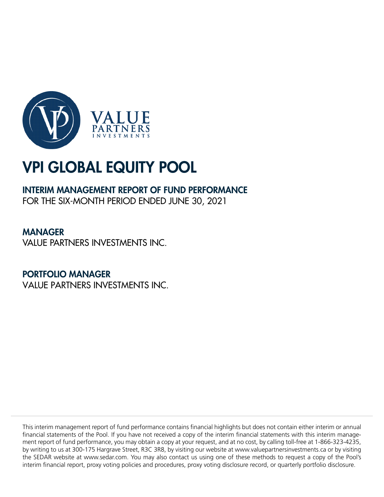

# INTERIM MANAGEMENT REPORT OF FUND PERFORMANCE

FOR THE SIX-MONTH PERIOD ENDED JUNE 30, 2021

# MANAGER

VALUE PARTNERS INVESTMENTS INC.

# PORTFOLIO MANAGER

VALUE PARTNERS INVESTMENTS INC.

This interim management report of fund performance contains financial highlights but does not contain either interim or annual financial statements of the Pool. If you have not received a copy of the interim financial statements with this interim management report of fund performance, you may obtain a copy at your request, and at no cost, by calling toll-free at 1-866-323-4235, by writing to us at 300-175 Hargrave Street, R3C 3R8, by visiting our website at www.valuepartnersinvestments.ca or by visiting the SEDAR website at www.sedar.com. You may also contact us using one of these methods to request a copy of the Pool's interim financial report, proxy voting policies and procedures, proxy voting disclosure record, or quarterly portfolio disclosure.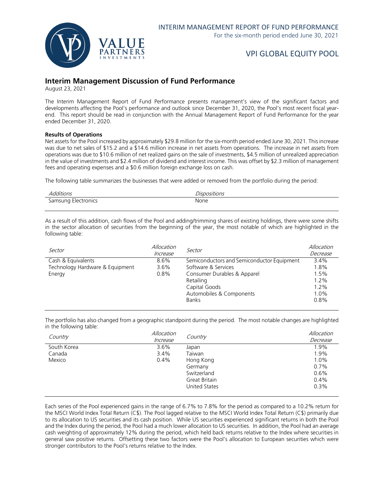

### **Interim Management Discussion of Fund Performance**

August 23, 2021

The Interim Management Report of Fund Performance presents management's view of the significant factors and developments affecting the Pool's performance and outlook since December 31, 2020, the Pool's most recent fiscal yearend. This report should be read in conjunction with the Annual Management Report of Fund Performance for the year ended December 31, 2020.

#### **Results of Operations**

Net assets for the Pool increased by approximately \$29.8 million for the six-month period ended June 30, 2021. This increase was due to net sales of \$15.2 and a \$14.6 million increase in net assets from operations. The increase in net assets from operations was due to \$10.6 million of net realized gains on the sale of investments, \$4.5 million of unrealized appreciation in the value of investments and \$2.4 million of dividend and interest income. This was offset by \$2.3 million of management fees and operating expenses and a \$0.6 million foreign exchange loss on cash.

The following table summarizes the businesses that were added or removed from the portfolio during the period:

| Additions           | Dispositions |
|---------------------|--------------|
| Samsung Electronics | None         |

As a result of this addition, cash flows of the Pool and adding/trimming shares of existing holdings, there were some shifts in the sector allocation of securities from the beginning of the year, the most notable of which are highlighted in the following table:

| Sector                          | Allocation<br>Increase | Sector                                     | Allocation<br>Decrease |
|---------------------------------|------------------------|--------------------------------------------|------------------------|
| Cash & Equivalents              | 8.6%                   | Semiconductors and Semiconductor Equipment | 3.4%                   |
| Technology Hardware & Equipment | 3.6%                   | Software & Services                        | 1.8%                   |
| Energy                          | 0.8%                   | Consumer Durables & Apparel                | 1.5%                   |
|                                 |                        | Retailing                                  | 1.2%                   |
|                                 |                        | Capital Goods                              | $1.2\%$                |
|                                 |                        | Automobiles & Components                   | 1.0%                   |
|                                 |                        | <b>Banks</b>                               | 0.8%                   |

The portfolio has also changed from a geographic standpoint during the period. The most notable changes are highlighted in the following table:

| Country     | Allocation | Country       | Allocation |
|-------------|------------|---------------|------------|
|             | Increase   |               | Decrease   |
| South Korea | $3.6\%$    | Japan         | 1.9%       |
| Canada      | 3.4%       | Taiwan        | 1.9%       |
| Mexico      | $0.4\%$    | Hong Kong     | 1.0%       |
|             |            | Germany       | 0.7%       |
|             |            | Switzerland   | 0.6%       |
|             |            | Great Britain | 0.4%       |
|             |            | United States | 0.3%       |
|             |            |               |            |

Each series of the Pool experienced gains in the range of 6.7% to 7.8% for the period as compared to a 10.2% return for the MSCI World Index Total Return (C\$). The Pool lagged relative to the MSCI World Index Total Return (C\$) primarily due to its allocation to US securities and its cash position. While US securities experienced significant returns in both the Pool and the Index during the period, the Pool had a much lower allocation to US securities. In addition, the Pool had an average cash weighting of approximately 12% during the period, which held back returns relative to the Index where securities in general saw positive returns. Offsetting these two factors were the Pool's allocation to European securities which were stronger contributors to the Pool's returns relative to the Index.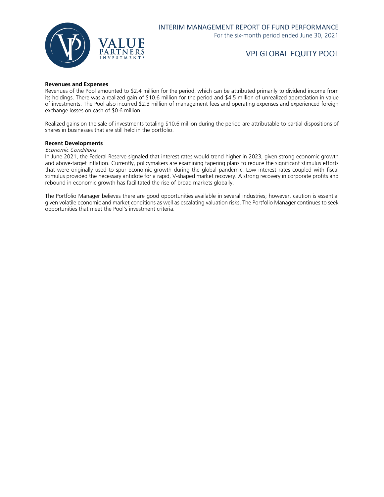

#### **Revenues and Expenses**

Revenues of the Pool amounted to \$2.4 million for the period, which can be attributed primarily to dividend income from its holdings. There was a realized gain of \$10.6 million for the period and \$4.5 million of unrealized appreciation in value of investments. The Pool also incurred \$2.3 million of management fees and operating expenses and experienced foreign exchange losses on cash of \$0.6 million.

Realized gains on the sale of investments totaling \$10.6 million during the period are attributable to partial dispositions of shares in businesses that are still held in the portfolio.

#### **Recent Developments**

Economic Conditions

In June 2021, the Federal Reserve signaled that interest rates would trend higher in 2023, given strong economic growth and above-target inflation. Currently, policymakers are examining tapering plans to reduce the significant stimulus efforts that were originally used to spur economic growth during the global pandemic. Low interest rates coupled with fiscal stimulus provided the necessary antidote for a rapid, V-shaped market recovery. A strong recovery in corporate profits and rebound in economic growth has facilitated the rise of broad markets globally.

The Portfolio Manager believes there are good opportunities available in several industries; however, caution is essential given volatile economic and market conditions as well as escalating valuation risks. The Portfolio Manager continues to seek opportunities that meet the Pool's investment criteria.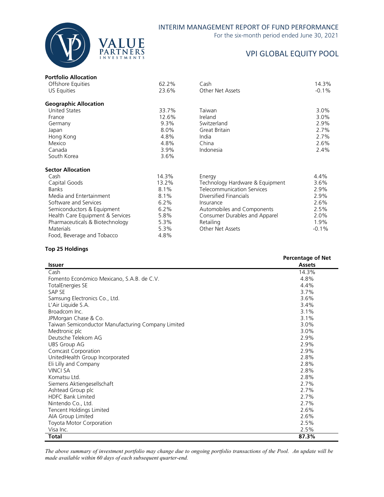

### INTERIM MANAGEMENT REPORT OF FUND PERFORMANCE

For the six-month period ended June 30, 2021

# VPI GLOBAL EQUITY POOL

| <b>Portfolio Allocation</b>      |         |                                   |         |
|----------------------------------|---------|-----------------------------------|---------|
| Offshore Equities                | 62.2%   | Cash                              | 14.3%   |
| US Equities                      | 23.6%   | Other Net Assets                  | $-0.1%$ |
| <b>Geographic Allocation</b>     |         |                                   |         |
| <b>United States</b>             | 33.7%   | Taiwan                            | $3.0\%$ |
| France                           | 12.6%   | Ireland                           | $3.0\%$ |
| Germany                          | 9.3%    | Switzerland                       | 2.9%    |
| Japan                            | 8.0%    | Great Britain                     | 2.7%    |
| Hong Kong                        | 4.8%    | India                             | 2.7%    |
| Mexico                           | 4.8%    | China                             | 2.6%    |
| Canada                           | 3.9%    | Indonesia                         | 2.4%    |
| South Korea                      | 3.6%    |                                   |         |
| <b>Sector Allocation</b>         |         |                                   |         |
| Cash                             | 14.3%   | Energy                            | 4.4%    |
| Capital Goods                    | 13.2%   | Technology Hardware & Equipment   | 3.6%    |
| <b>Banks</b>                     | 8.1%    | <b>Telecommunication Services</b> | 2.9%    |
| Media and Entertainment          | 8.1%    | Diversified Financials            | 2.9%    |
| Software and Services            | $6.2\%$ | Insurance                         | 2.6%    |
| Semiconductors & Equipment       | 6.2%    | Automobiles and Components        | 2.5%    |
| Health Care Equipment & Services | 5.8%    | Consumer Durables and Apparel     | 2.0%    |
| Pharmaceuticals & Biotechnology  | 5.3%    | Retailing                         | 1.9%    |
| <b>Materials</b>                 | 5.3%    | Other Net Assets                  | $-0.1%$ |
| Food, Beverage and Tobacco       | 4.8%    |                                   |         |

#### **Top 25 Holdings**

|                                                    | <b>Percentage of Net</b> |
|----------------------------------------------------|--------------------------|
| <b>Issuer</b>                                      | <b>Assets</b>            |
| Cash                                               | 14.3%                    |
| Fomento Económico Mexicano, S.A.B. de C.V.         | 4.8%                     |
| <b>TotalEnergies SE</b>                            | 4.4%                     |
| SAP SE                                             | 3.7%                     |
| Samsung Electronics Co., Ltd.                      | 3.6%                     |
| L'Air Liquide S.A.                                 | 3.4%                     |
| Broadcom Inc.                                      | 3.1%                     |
| JPMorgan Chase & Co.                               | 3.1%                     |
| Taiwan Semiconductor Manufacturing Company Limited | 3.0%                     |
| Medtronic plc                                      | 3.0%                     |
| Deutsche Telekom AG                                | 2.9%                     |
| <b>UBS Group AG</b>                                | 2.9%                     |
| <b>Comcast Corporation</b>                         | 2.9%                     |
| UnitedHealth Group Incorporated                    | 2.8%                     |
| Eli Lilly and Company                              | 2.8%                     |
| <b>VINCI SA</b>                                    | 2.8%                     |
| Komatsu Ltd.                                       | 2.8%                     |
| Siemens Aktiengesellschaft                         | 2.7%                     |
| Ashtead Group plc                                  | 2.7%                     |
| <b>HDFC Bank Limited</b>                           | 2.7%                     |
| Nintendo Co., Ltd.                                 | 2.7%                     |
| Tencent Holdings Limited                           | 2.6%                     |
| AIA Group Limited                                  | 2.6%                     |
| Toyota Motor Corporation                           | 2.5%                     |
| Visa Inc.                                          | 2.5%                     |
| <b>Total</b>                                       | 87.3%                    |

*The above summary of investment portfolio may change due to ongoing portfolio transactions of the Pool. An update will be made available within 60 days of each subsequent quarter-end.*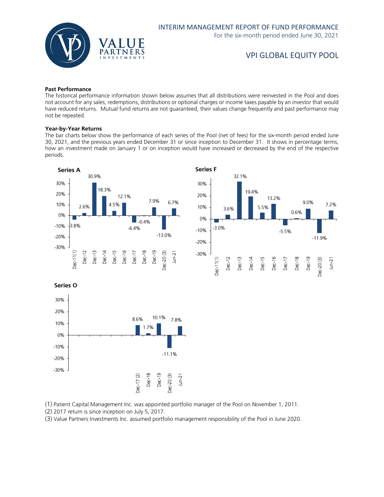

#### **Past Performance**

The historical performance information shown below assumes that all distributions were reinvested in the Pool and does not account for any sales, redemptions, distributions or optional charges or income taxes payable by an investor that would have reduced returns. Mutual fund returns are not guaranteed, their values change frequently and past performance may not be repeated.

#### **Year-by-Year Returns**

The bar charts below show the performance of each series of the Pool (net of fees) for the six-month period ended June 30, 2021, and the previous years ended December 31 or since inception to December 31. It shows in percentage terms, how an investment made on January 1 or on inception would have increased or decreased by the end of the respective periods.





Series O



(1) Patient Capital Management Inc. was appointed portfolio manager of the Pool on November 1, 2011.

(2) 2017 return is since inception on July 5, 2017.

(3) Value Partners Investments Inc. assumed portfolio management responsibility of the Pool in June 2020.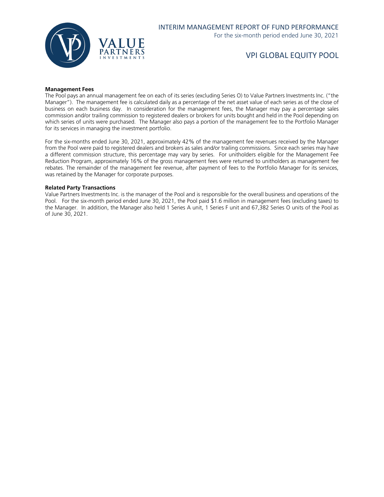

#### **Management Fees**

The Pool pays an annual management fee on each of its series (excluding Series O) to Value Partners Investments Inc. ("the Manager"). The management fee is calculated daily as a percentage of the net asset value of each series as of the close of business on each business day. In consideration for the management fees, the Manager may pay a percentage sales commission and/or trailing commission to registered dealers or brokers for units bought and held in the Pool depending on which series of units were purchased. The Manager also pays a portion of the management fee to the Portfolio Manager for its services in managing the investment portfolio.

For the six-months ended June 30, 2021, approximately 42% of the management fee revenues received by the Manager from the Pool were paid to registered dealers and brokers as sales and/or trailing commissions. Since each series may have a different commission structure, this percentage may vary by series. For unitholders eligible for the Management Fee Reduction Program, approximately 16% of the gross management fees were returned to unitholders as management fee rebates. The remainder of the management fee revenue, after payment of fees to the Portfolio Manager for its services, was retained by the Manager for corporate purposes.

#### **Related Party Transactions**

Value Partners Investments Inc. is the manager of the Pool and is responsible for the overall business and operations of the Pool. For the six-month period ended June 30, 2021, the Pool paid \$1.6 million in management fees (excluding taxes) to the Manager. In addition, the Manager also held 1 Series A unit, 1 Series F unit and 67,382 Series O units of the Pool as of June 30, 2021.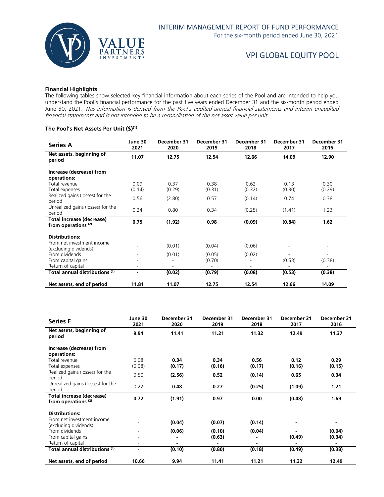

#### **Financial Highlights**

The following tables show selected key financial information about each series of the Pool and are intended to help you understand the Pool's financial performance for the past five years ended December 31 and the six-month period ended June 30, 2021. This information is derived from the Pool's audited annual financial statements and interim unaudited financial statements and is not intended to be a reconciliation of the net asset value per unit.

#### **The Pool's Net Assets Per Unit (\$)(1)**

| <b>Series A</b>                                                    | June 30<br>2021 | December 31<br>2020 | December 31<br>2019 | December 31<br>2018 | December 31<br>2017 | December 31<br>2016 |
|--------------------------------------------------------------------|-----------------|---------------------|---------------------|---------------------|---------------------|---------------------|
| Net assets, beginning of<br>period                                 | 11.07           | 12.75               | 12.54               | 12.66               | 14.09               | 12.90               |
| Increase (decrease) from<br>operations:                            |                 |                     |                     |                     |                     |                     |
| Total revenue<br>Total expenses                                    | 0.09<br>(0.14)  | 0.37<br>(0.29)      | 0.38<br>(0.31)      | 0.62<br>(0.32)      | 0.13<br>(0.30)      | 0.30<br>(0.29)      |
| Realized gains (losses) for the<br>period                          | 0.56            | (2.80)              | 0.57                | (0.14)              | 0.74                | 0.38                |
| Unrealized gains (losses) for the<br>period                        | 0.24            | 0.80                | 0.34                | (0.25)              | (1.41)              | 1.23                |
| <b>Total increase (decrease)</b><br>from operations <sup>(2)</sup> | 0.75            | (1.92)              | 0.98                | (0.09)              | (0.84)              | 1.62                |
| <b>Distributions:</b>                                              |                 |                     |                     |                     |                     |                     |
| From net investment income<br>(excluding dividends)                |                 | (0.01)              | (0.04)              | (0.06)              |                     | -                   |
| From dividends<br>From capital gains                               |                 | (0.01)              | (0.05)<br>(0.70)    | (0.02)              | (0.53)              | (0.38)              |
| Return of capital<br>Total annual distributions (3)                | $\blacksquare$  | (0.02)              | ٠<br>(0.79)         | (0.08)              | (0.53)              | (0.38)              |
| Net assets, end of period                                          | 11.81           | 11.07               | 12.75               | 12.54               | 12.66               | 14.09               |

| <b>Series F</b>                                             | June 30<br>2021 | December 31<br>2020 | December 31<br>2019 | December 31<br>2018 | December 31<br>2017 | December 31<br>2016 |
|-------------------------------------------------------------|-----------------|---------------------|---------------------|---------------------|---------------------|---------------------|
| Net assets, beginning of<br>period                          | 9.94            | 11.41               | 11.21               | 11.32               | 12.49               | 11.37               |
| Increase (decrease) from<br>operations:                     |                 |                     |                     |                     |                     |                     |
| Total revenue<br>Total expenses                             | 0.08<br>(0.08)  | 0.34<br>(0.17)      | 0.34<br>(0.16)      | 0.56<br>(0.17)      | 0.12<br>(0.16)      | 0.29<br>(0.15)      |
| Realized gains (losses) for the<br>period                   | 0.50            | (2.56)              | 0.52                | (0.14)              | 0.65                | 0.34                |
| Unrealized gains (losses) for the<br>period                 | 0.22            | 0.48                | 0.27                | (0.25)              | (1.09)              | 1.21                |
| Total increase (decrease)<br>from operations <sup>(2)</sup> | 0.72            | (1.91)              | 0.97                | 0.00                | (0.48)              | 1.69                |
| <b>Distributions:</b>                                       |                 |                     |                     |                     |                     |                     |
| From net investment income<br>(excluding dividends)         |                 | (0.04)              | (0.07)              | (0.14)              |                     |                     |
| From dividends                                              |                 | (0.06)              | (0.10)              | (0.04)              |                     | (0.04)              |
| From capital gains                                          |                 |                     | (0.63)              |                     | (0.49)              | (0.34)              |
| Return of capital                                           |                 |                     |                     | $\blacksquare$      |                     |                     |
| Total annual distributions <sup>(3)</sup>                   |                 | (0.10)              | (0.80)              | (0.18)              | (0.49)              | (0.38)              |
| Net assets, end of period                                   | 10.66           | 9.94                | 11.41               | 11.21               | 11.32               | 12.49               |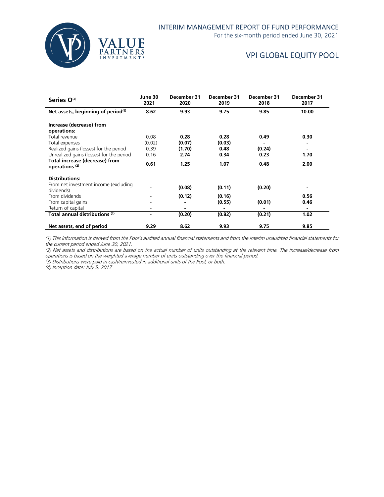

For the six-month period ended June 30, 2021

# VPI GLOBAL EQUITY POOL

| Series O <sup>(4)</sup>                                     | June 30<br>2021 | December 31<br>2020 | December 31<br>2019 | December 31<br>2018 | December 31<br>2017 |
|-------------------------------------------------------------|-----------------|---------------------|---------------------|---------------------|---------------------|
| Net assets, beginning of period $(4)$                       | 8.62            | 9.93                | 9.75                | 9.85                | 10.00               |
| Increase (decrease) from<br>operations:                     |                 |                     |                     |                     |                     |
| Total revenue                                               | 0.08            | 0.28                | 0.28                | 0.49                | 0.30                |
| Total expenses                                              | (0.02)          | (0.07)              | (0.03)              |                     |                     |
| Realized gains (losses) for the period                      | 0.39            | (1.70)              | 0.48                | (0.24)              | ٠                   |
| Unrealized gains (losses) for the period                    | 0.16            | 2.74                | 0.34                | 0.23                | 1.70                |
| Total increase (decrease) from<br>operations <sup>(2)</sup> | 0.61            | 1.25                | 1.07                | 0.48                | 2.00                |
| <b>Distributions:</b>                                       |                 |                     |                     |                     |                     |
| From net investment income (excluding<br>dividends)         |                 | (0.08)              | (0.11)              | (0.20)              |                     |
| From dividends                                              |                 | (0.12)              | (0.16)              |                     | 0.56                |
| From capital gains                                          |                 |                     | (0.55)              | (0.01)              | 0.46                |
| Return of capital                                           |                 |                     |                     |                     |                     |
| Total annual distributions (3)                              |                 | (0.20)              | (0.82)              | (0.21)              | 1.02                |
| Net assets, end of period                                   | 9.29            | 8.62                | 9.93                | 9.75                | 9.85                |

(1) This information is derived from the Pool's audited annual financial statements and from the interim unaudited financial statements for the current period ended June 30, 2021.

(2) Net assets and distributions are based on the actual number of units outstanding at the relevant time. The increase/decrease from operations is based on the weighted average number of units outstanding over the financial period.

(3) Distributions were paid in cash/reinvested in additional units of the Pool, or both.

(4) Inception date: July 5, 2017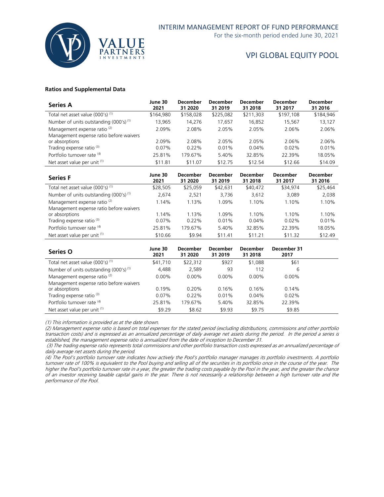

For the six-month period ended June 30, 2021

# VPI GLOBAL EQUITY POOL

#### **Ratios and Supplemental Data**

| <b>Series A</b>                                    | June 30<br>2021 | <b>December</b><br>31 2020 | <b>December</b><br>31 2019 | December<br>31 2018 | <b>December</b><br>31 2017 | <b>December</b><br>31 2016 |
|----------------------------------------------------|-----------------|----------------------------|----------------------------|---------------------|----------------------------|----------------------------|
| Total net asset value (000's) <sup>(1)</sup>       | \$164,980       | \$158,028                  | \$225,082                  | \$211,303           | \$197,108                  | \$184,946                  |
| Number of units outstanding (000's) <sup>(1)</sup> | 13,965          | 14,276                     | 17,657                     | 16,852              | 15.567                     | 13,127                     |
| Management expense ratio <sup>(2)</sup>            | 2.09%           | 2.08%                      | 2.05%                      | 2.05%               | 2.06%                      | 2.06%                      |
| Management expense ratio before waivers            |                 |                            |                            |                     |                            |                            |
| or absorptions                                     | 2.09%           | 2.08%                      | 2.05%                      | 2.05%               | 2.06%                      | 2.06%                      |
| Trading expense ratio <sup>(3)</sup>               | 0.07%           | $0.22\%$                   | 0.01%                      | $0.04\%$            | $0.02\%$                   | 0.01%                      |
| Portfolio turnover rate (4)                        | 25.81%          | 179.67%                    | 5.40%                      | 32.85%              | 22.39%                     | 18.05%                     |
| Net asset value per unit (1)                       | \$11.81         | \$11.07                    | \$12.75                    | \$12.54             | \$12.66                    | \$14.09                    |

| <b>Series F</b>                              | June 30<br>2021 | <b>December</b><br>31 2020 | <b>December</b><br>31 2019 | December<br>31 2018 | <b>December</b><br>31 2017 | <b>December</b><br>31 2016 |
|----------------------------------------------|-----------------|----------------------------|----------------------------|---------------------|----------------------------|----------------------------|
| Total net asset value (000's) <sup>(1)</sup> | \$28,505        | \$25.059                   | \$42,631                   | \$40,472            | \$34.974                   | \$25,464                   |
| Number of units outstanding $(000's)^{(1)}$  | 2,674           | 2.521                      | 3,736                      | 3,612               | 3,089                      | 2,038                      |
| Management expense ratio <sup>(2)</sup>      | 1.14%           | 1.13%                      | 1.09%                      | 1.10%               | 1.10%                      | 1.10%                      |
| Management expense ratio before waivers      |                 |                            |                            |                     |                            |                            |
| or absorptions                               | 1.14%           | 1.13%                      | 1.09%                      | 1.10%               | 1.10%                      | 1.10%                      |
| Trading expense ratio <sup>(3)</sup>         | $0.07\%$        | $0.22\%$                   | 0.01%                      | $0.04\%$            | $0.02\%$                   | 0.01%                      |
| Portfolio turnover rate (4)                  | 25.81%          | 179.67%                    | 5.40%                      | 32.85%              | 22.39%                     | 18.05%                     |
| Net asset value per unit (1)                 | \$10.66         | \$9.94                     | \$11.41                    | \$11.21             | \$11.32                    | \$12.49                    |

| Series O                                    | June 30<br>2021 | <b>December</b><br>31 2020 | <b>December</b><br>31 2019 | <b>December</b><br>31 2018 | December 31<br>2017 |  |
|---------------------------------------------|-----------------|----------------------------|----------------------------|----------------------------|---------------------|--|
| Total net asset value $(000's)^{(1)}$       | \$41,710        | \$22,312                   | \$927                      | \$1,088                    | \$61                |  |
| Number of units outstanding $(000's)^{(1)}$ | 4,488           | 2,589                      | 93                         | 112                        | 6                   |  |
| Management expense ratio <sup>(2)</sup>     | $0.00\%$        | $0.00\%$                   | $0.00\%$                   | $0.00\%$                   | $0.00\%$            |  |
| Management expense ratio before waivers     |                 |                            |                            |                            |                     |  |
| or absorptions                              | 0.19%           | 0.20%                      | 0.16%                      | 0.16%                      | 0.14%               |  |
| Trading expense ratio <sup>(3)</sup>        | $0.07\%$        | $0.22\%$                   | 0.01%                      | $0.04\%$                   | $0.02\%$            |  |
| Portfolio turnover rate (4)                 | 25.81%          | 179.67%                    | 5.40%                      | 32.85%                     | 22.39%              |  |
| Net asset value per unit (1)                | \$9.29          | \$8.62                     | \$9.93                     | \$9.75                     | \$9.85              |  |

(1) This information is provided as at the date shown.

(2) Management expense ratio is based on total expenses for the stated period (excluding distributions, commissions and other portfolio transaction costs) and is expressed as an annualized percentage of daily average net assets during the period. In the period a series is established, the management expense ratio is annualized from the date of inception to December 31.

(3) The trading expense ratio represents total commissions and other portfolio transaction costs expressed as an annualized percentage of daily average net assets during the period.

(4) The Pool's portfolio turnover rate indicates how actively the Pool's portfolio manager manages its portfolio investments. A portfolio turnover rate of 100% is equivalent to the Pool buying and selling all of the securities in its portfolio once in the course of the year. The higher the Pool's portfolio turnover rate in a year, the greater the trading costs payable by the Pool in the year, and the greater the chance of an investor receiving taxable capital gains in the year. There is not necessarily a relationship between a high turnover rate and the performance of the Pool.